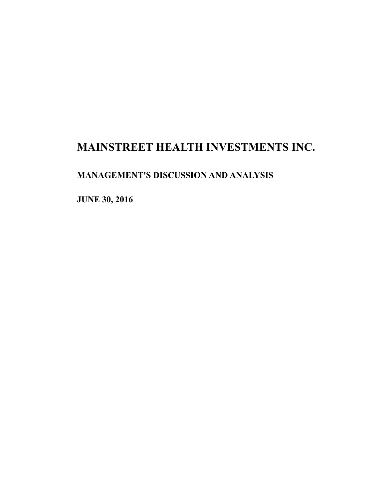# **MAINSTREET HEALTH INVESTMENTS INC.**

## **MANAGEMENT'S DISCUSSION AND ANALYSIS**

**JUNE 30, 2016**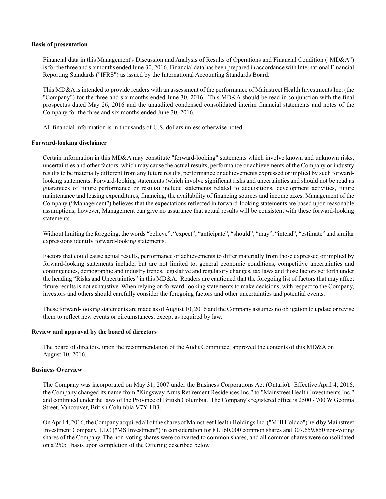#### **Basis of presentation**

Financial data in this Management's Discussion and Analysis of Results of Operations and Financial Condition ("MD&A") is for the three and six months ended June 30, 2016. Financial data has been prepared in accordance with International Financial Reporting Standards ("IFRS") as issued by the International Accounting Standards Board.

This MD&A is intended to provide readers with an assessment of the performance of Mainstreet Health Investments Inc. (the "Company") for the three and six months ended June 30, 2016. This MD&A should be read in conjunction with the final prospectus dated May 26, 2016 and the unaudited condensed consolidated interim financial statements and notes of the Company for the three and six months ended June 30, 2016.

All financial information is in thousands of U.S. dollars unless otherwise noted.

#### **Forward-looking disclaimer**

Certain information in this MD&A may constitute "forward-looking" statements which involve known and unknown risks, uncertainties and other factors, which may cause the actual results, performance or achievements of the Company or industry results to be materially different from any future results, performance or achievements expressed or implied by such forwardlooking statements. Forward-looking statements (which involve significant risks and uncertainties and should not be read as guarantees of future performance or results) include statements related to acquisitions, development activities, future maintenance and leasing expenditures, financing, the availability of financing sources and income taxes. Management of the Company ("Management") believes that the expectations reflected in forward-looking statements are based upon reasonable assumptions; however, Management can give no assurance that actual results will be consistent with these forward-looking statements.

Without limiting the foregoing, the words "believe", "expect", "anticipate", "should", "may", "intend", "estimate" and similar expressions identify forward-looking statements.

Factors that could cause actual results, performance or achievements to differ materially from those expressed or implied by forward-looking statements include, but are not limited to, general economic conditions, competitive uncertainties and contingencies, demographic and industry trends, legislative and regulatory changes, tax laws and those factors set forth under the heading "Risks and Uncertainties" in this MD&A. Readers are cautioned that the foregoing list of factors that may affect future results is not exhaustive. When relying on forward-looking statements to make decisions, with respect to the Company, investors and others should carefully consider the foregoing factors and other uncertainties and potential events.

These forward-looking statements are made as of August 10, 2016 and the Company assumes no obligation to update or revise them to reflect new events or circumstances, except as required by law.

## **Review and approval by the board of directors**

The board of directors, upon the recommendation of the Audit Committee, approved the contents of this MD&A on August 10, 2016.

## **Business Overview**

The Company was incorporated on May 31, 2007 under the Business Corporations Act (Ontario). Effective April 4, 2016, the Company changed its name from "Kingsway Arms Retirement Residences Inc." to "Mainstreet Health Investments Inc." and continued under the laws of the Province of British Columbia. The Company's registered office is 2500 - 700 W Georgia Street, Vancouver, British Columbia V7Y 1B3.

On April 4, 2016, the Company acquired all of the shares of Mainstreet Health Holdings Inc. ("MHI Holdco") held by Mainstreet Investment Company, LLC ("MS Investment") in consideration for 81,160,000 common shares and 307,659,850 non-voting shares of the Company. The non-voting shares were converted to common shares, and all common shares were consolidated on a 250:1 basis upon completion of the Offering described below.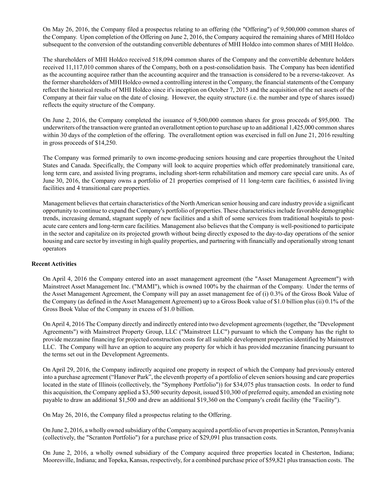On May 26, 2016, the Company filed a prospectus relating to an offering (the "Offering") of 9,500,000 common shares of the Company. Upon completion of the Offering on June 2, 2016, the Company acquired the remaining shares of MHI Holdco subsequent to the conversion of the outstanding convertible debentures of MHI Holdco into common shares of MHI Holdco.

The shareholders of MHI Holdco received 518,094 common shares of the Company and the convertible debenture holders received 11,117,010 common shares of the Company, both on a post-consolidation basis. The Company has been identified as the accounting acquiree rather than the accounting acquirer and the transaction is considered to be a reverse-takeover. As the former shareholders of MHI Holdco owned a controlling interest in the Company, the financial statements of the Company reflect the historical results of MHI Holdco since it's inception on October 7, 2015 and the acquisition of the net assets of the Company at their fair value on the date of closing. However, the equity structure (i.e. the number and type of shares issued) reflects the equity structure of the Company.

On June 2, 2016, the Company completed the issuance of 9,500,000 common shares for gross proceeds of \$95,000. The underwriters of the transaction were granted an overallotment option to purchase up to an additional 1,425,000 common shares within 30 days of the completion of the offering. The overallotment option was exercised in full on June 21, 2016 resulting in gross proceeds of \$14,250.

The Company was formed primarily to own income-producing seniors housing and care properties throughout the United States and Canada. Specifically, the Company will look to acquire properties which offer predominately transitional care, long term care, and assisted living programs, including short-term rehabilitation and memory care special care units. As of June 30, 2016, the Company owns a portfolio of 21 properties comprised of 11 long-term care facilities, 6 assisted living facilities and 4 transitional care properties.

Management believes that certain characteristics of the North American senior housing and care industry provide a significant opportunity to continue to expand the Company's portfolio of properties. These characteristics include favorable demographic trends, increasing demand, stagnant supply of new facilities and a shift of some services from traditional hospitals to postacute care centers and long-term care facilities. Management also believes that the Company is well-positioned to participate in the sector and capitalize on its projected growth without being directly exposed to the day-to-day operations of the senior housing and care sector by investing in high quality properties, and partnering with financially and operationally strong tenant operators

## **Recent Activities**

On April 4, 2016 the Company entered into an asset management agreement (the "Asset Management Agreement") with Mainstreet Asset Management Inc. ("MAMI"), which is owned 100% by the chairman of the Company. Under the terms of the Asset Management Agreement, the Company will pay an asset management fee of (i) 0.3% of the Gross Book Value of the Company (as defined in the Asset Management Agreement) up to a Gross Book value of \$1.0 billion plus (ii) 0.1% of the Gross Book Value of the Company in excess of \$1.0 billion.

On April 4, 2016 The Company directly and indirectly entered into two development agreements (together, the "Development Agreements") with Mainstreet Property Group, LLC ("Mainstreet LLC") pursuant to which the Company has the right to provide mezzanine financing for projected construction costs for all suitable development properties identified by Mainstreet LLC. The Company will have an option to acquire any property for which it has provided mezzanine financing pursuant to the terms set out in the Development Agreements.

On April 29, 2016, the Company indirectly acquired one property in respect of which the Company had previously entered into a purchase agreement ("Hanover Park", the eleventh property of a portfolio of eleven seniors housing and care properties located in the state of Illinois (collectively, the "Symphony Portfolio")) for \$34,075 plus transaction costs. In order to fund this acquisition, the Company applied a \$3,500 security deposit, issued \$10,300 of preferred equity, amended an existing note payable to draw an additional \$1,500 and drew an additional \$19,360 on the Company's credit facility (the "Facility").

On May 26, 2016, the Company filed a prospectus relating to the Offering.

On June 2, 2016, a wholly owned subsidiary of the Company acquired a portfolio of seven properties in Scranton, Pennsylvania (collectively, the "Scranton Portfolio") for a purchase price of \$29,091 plus transaction costs.

On June 2, 2016, a wholly owned subsidiary of the Company acquired three properties located in Chesterton, Indiana; Mooresville, Indiana; and Topeka, Kansas, respectively, for a combined purchase price of \$59,821 plus transaction costs. The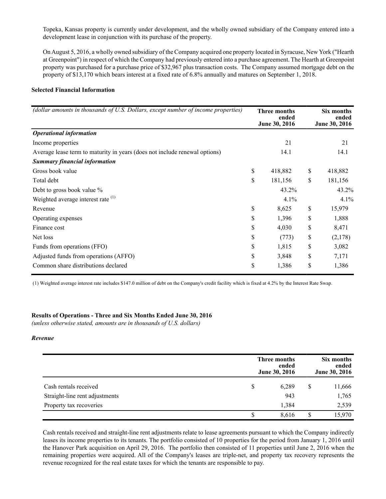Topeka, Kansas property is currently under development, and the wholly owned subsidiary of the Company entered into a development lease in conjunction with its purchase of the property.

On August 5, 2016, a wholly owned subsidiary of the Company acquired one property located in Syracuse, New York ("Hearth at Greenpoint") in respect of which the Company had previously entered into a purchase agreement. The Hearth at Greenpoint property was purchased for a purchase price of \$32,967 plus transaction costs. The Company assumed mortgage debt on the property of \$13,170 which bears interest at a fixed rate of 6.8% annually and matures on September 1, 2018.

## **Selected Financial Information**

| (dollar amounts in thousands of U.S. Dollars, except number of income properties) | <b>Three months</b><br>ended<br>June 30, 2016 | Six months<br>ended<br>June 30, 2016 |  |
|-----------------------------------------------------------------------------------|-----------------------------------------------|--------------------------------------|--|
| <b>Operational information</b>                                                    |                                               |                                      |  |
| Income properties                                                                 | 21                                            | 21                                   |  |
| Average lease term to maturity in years (does not include renewal options)        | 14.1                                          | 14.1                                 |  |
| <b>Summary financial information</b>                                              |                                               |                                      |  |
| Gross book value                                                                  | \$<br>418,882                                 | \$<br>418,882                        |  |
| Total debt                                                                        | \$<br>181,156                                 | \$<br>181,156                        |  |
| Debt to gross book value %                                                        | 43.2%                                         | 43.2%                                |  |
| Weighted average interest rate (1)                                                | 4.1%                                          | 4.1%                                 |  |
| Revenue                                                                           | \$<br>8,625                                   | \$<br>15,979                         |  |
| Operating expenses                                                                | \$<br>1,396                                   | \$<br>1,888                          |  |
| Finance cost                                                                      | \$<br>4,030                                   | \$<br>8,471                          |  |
| Net loss                                                                          | \$<br>(773)                                   | \$<br>(2,178)                        |  |
| Funds from operations (FFO)                                                       | \$<br>1,815                                   | \$<br>3,082                          |  |
| Adjusted funds from operations (AFFO)                                             | \$<br>3,848                                   | \$<br>7,171                          |  |
| Common share distributions declared                                               | \$<br>1,386                                   | \$<br>1,386                          |  |

(1) Weighted average interest rate includes \$147.0 million of debt on the Company's credit facility which is fixed at 4.2% by the Interest Rate Swap.

#### **Results of Operations - Three and Six Months Ended June 30, 2016**

*(unless otherwise stated, amounts are in thousands of U.S. dollars)*

## *Revenue*

|                                | Three months<br>June 30, 2016 | Six months<br>ended<br>June 30, 2016 |    |        |
|--------------------------------|-------------------------------|--------------------------------------|----|--------|
| Cash rentals received          | S                             | 6,289                                | \$ | 11,666 |
| Straight-line rent adjustments |                               | 943                                  |    | 1,765  |
| Property tax recoveries        |                               | 1,384                                |    | 2,539  |
|                                |                               | 8,616                                | S  | 15,970 |

Cash rentals received and straight-line rent adjustments relate to lease agreements pursuant to which the Company indirectly leases its income properties to its tenants. The portfolio consisted of 10 properties for the period from January 1, 2016 until the Hanover Park acquisition on April 29, 2016. The portfolio then consisted of 11 properties until June 2, 2016 when the remaining properties were acquired. All of the Company's leases are triple-net, and property tax recovery represents the revenue recognized for the real estate taxes for which the tenants are responsible to pay.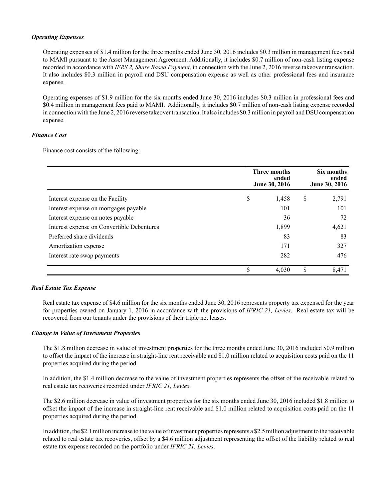## *Operating Expenses*

Operating expenses of \$1.4 million for the three months ended June 30, 2016 includes \$0.3 million in management fees paid to MAMI pursuant to the Asset Management Agreement. Additionally, it includes \$0.7 million of non-cash listing expense recorded in accordance with *IFRS 2, Share Based Payment*, in connection with the June 2, 2016 reverse takeover transaction. It also includes \$0.3 million in payroll and DSU compensation expense as well as other professional fees and insurance expense.

Operating expenses of \$1.9 million for the six months ended June 30, 2016 includes \$0.3 million in professional fees and \$0.4 million in management fees paid to MAMI. Additionally, it includes \$0.7 million of non-cash listing expense recorded in connection with the June 2, 2016 reverse takeover transaction. It also includes \$0.3 million in payroll and DSU compensation expense.

## *Finance Cost*

Finance cost consists of the following:

|                                            | Three months<br>June 30, 2016 | Six months<br>ended<br>June 30, 2016 |    |       |
|--------------------------------------------|-------------------------------|--------------------------------------|----|-------|
| Interest expense on the Facility           | \$                            | 1,458                                | \$ | 2,791 |
| Interest expense on mortgages payable      |                               | 101                                  |    | 101   |
| Interest expense on notes payable          |                               | 36                                   |    | 72    |
| Interest expense on Convertible Debentures |                               | 1,899                                |    | 4,621 |
| Preferred share dividends                  |                               | 83                                   |    | 83    |
| Amortization expense                       |                               | 171                                  |    | 327   |
| Interest rate swap payments                |                               | 282                                  |    | 476   |
|                                            | \$                            | 4,030                                | \$ | 8,471 |

## *Real Estate Tax Expense*

Real estate tax expense of \$4.6 million for the six months ended June 30, 2016 represents property tax expensed for the year for properties owned on January 1, 2016 in accordance with the provisions of *IFRIC 21, Levies*. Real estate tax will be recovered from our tenants under the provisions of their triple net leases.

## *Change in Value of Investment Properties*

The \$1.8 million decrease in value of investment properties for the three months ended June 30, 2016 included \$0.9 million to offset the impact of the increase in straight-line rent receivable and \$1.0 million related to acquisition costs paid on the 11 properties acquired during the period.

In addition, the \$1.4 million decrease to the value of investment properties represents the offset of the receivable related to real estate tax recoveries recorded under *IFRIC 21, Levies*.

The \$2.6 million decrease in value of investment properties for the six months ended June 30, 2016 included \$1.8 million to offset the impact of the increase in straight-line rent receivable and \$1.0 million related to acquisition costs paid on the 11 properties acquired during the period.

In addition, the \$2.1 million increase to the value of investment properties represents a \$2.5 million adjustment to the receivable related to real estate tax recoveries, offset by a \$4.6 million adjustment representing the offset of the liability related to real estate tax expense recorded on the portfolio under *IFRIC 21, Levies*.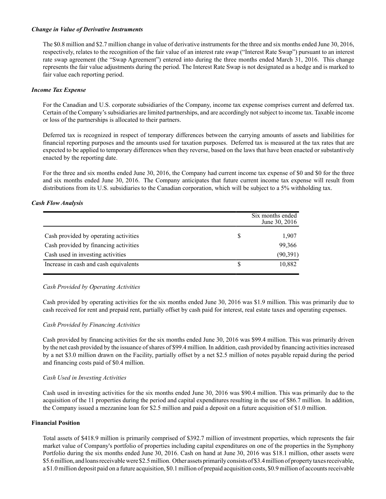## *Change in Value of Derivative Instruments*

The \$0.8 million and \$2.7 million change in value of derivative instruments for the three and six months ended June 30, 2016, respectively, relates to the recognition of the fair value of an interest rate swap ("Interest Rate Swap") pursuant to an interest rate swap agreement (the "Swap Agreement") entered into during the three months ended March 31, 2016. This change represents the fair value adjustments during the period. The Interest Rate Swap is not designated as a hedge and is marked to fair value each reporting period.

## *Income Tax Expense*

For the Canadian and U.S. corporate subsidiaries of the Company, income tax expense comprises current and deferred tax. Certain of the Company's subsidiaries are limited partnerships, and are accordingly not subject to income tax. Taxable income or loss of the partnerships is allocated to their partners.

Deferred tax is recognized in respect of temporary differences between the carrying amounts of assets and liabilities for financial reporting purposes and the amounts used for taxation purposes. Deferred tax is measured at the tax rates that are expected to be applied to temporary differences when they reverse, based on the laws that have been enacted or substantively enacted by the reporting date.

For the three and six months ended June 30, 2016, the Company had current income tax expense of \$0 and \$0 for the three and six months ended June 30, 2016. The Company anticipates that future current income tax expense will result from distributions from its U.S. subsidiaries to the Canadian corporation, which will be subject to a 5% withholding tax.

## *Cash Flow Analysis*

|                                       | Six months ended<br>June 30, 2016 |
|---------------------------------------|-----------------------------------|
| Cash provided by operating activities | 1,907                             |
| Cash provided by financing activities | 99,366                            |
| Cash used in investing activities     | (90, 391)                         |
| Increase in cash and cash equivalents | 10,882                            |

## *Cash Provided by Operating Activities*

Cash provided by operating activities for the six months ended June 30, 2016 was \$1.9 million. This was primarily due to cash received for rent and prepaid rent, partially offset by cash paid for interest, real estate taxes and operating expenses.

#### *Cash Provided by Financing Activities*

Cash provided by financing activities for the six months ended June 30, 2016 was \$99.4 million. This was primarily driven by the net cash provided by the issuance of shares of \$99.4 million. In addition, cash provided by financing activities increased by a net \$3.0 million drawn on the Facility, partially offset by a net \$2.5 million of notes payable repaid during the period and financing costs paid of \$0.4 million.

#### *Cash Used in Investing Activities*

Cash used in investing activities for the six months ended June 30, 2016 was \$90.4 million. This was primarily due to the acquisition of the 11 properties during the period and capital expenditures resulting in the use of \$86.7 million. In addition, the Company issued a mezzanine loan for \$2.5 million and paid a deposit on a future acquisition of \$1.0 million.

## **Financial Position**

Total assets of \$418.9 million is primarily comprised of \$392.7 million of investment properties, which represents the fair market value of Company's portfolio of properties including capital expenditures on one of the properties in the Symphony Portfolio during the six months ended June 30, 2016. Cash on hand at June 30, 2016 was \$18.1 million, other assets were \$5.6 million, and loans receivable were \$2.5 million. Other assets primarily consists of \$3.4 million of property taxes receivable, a \$1.0 million deposit paid on a future acquisition, \$0.1 million of prepaid acquisition costs, \$0.9 million of accounts receivable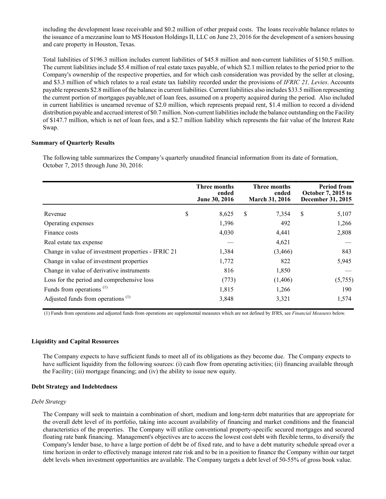including the development lease receivable and \$0.2 million of other prepaid costs. The loans receivable balance relates to the issuance of a mezzanine loan to MS Houston Holdings II, LLC on June 23, 2016 for the development of a seniors housing and care property in Houston, Texas.

Total liabilities of \$196.3 million includes current liabilities of \$45.8 million and non-current liabilities of \$150.5 million. The current liabilities include \$5.4 million of real estate taxes payable, of which \$2.1 million relates to the period prior to the Company's ownership of the respective properties, and for which cash consideration was provided by the seller at closing, and \$3.3 million of which relates to a real estate tax liability recorded under the provisions of *IFRIC 21, Levies*. Accounts payable represents \$2.8 million of the balance in current liabilities. Current liabilities also includes \$33.5 million representing the current portion of mortgages payable,net of loan fees, assumed on a property acquired during the period. Also included in current liabilities is unearned revenue of \$2.0 million, which represents prepaid rent, \$1.4 million to record a dividend distribution payable and accrued interest of \$0.7 million. Non-current liabilities include the balance outstanding on the Facility of \$147.7 million, which is net of loan fees, and a \$2.7 million liability which represents the fair value of the Interest Rate Swap.

#### **Summary of Quarterly Results**

The following table summarizes the Company's quarterly unaudited financial information from its date of formation, October 7, 2015 through June 30, 2016:

|                                                     | Three months<br>ended<br>June 30, 2016 |   | Three months<br>ended<br>March 31, 2016 | <b>Period from</b><br><b>October 7, 2015 to</b><br>December 31, 2015 |
|-----------------------------------------------------|----------------------------------------|---|-----------------------------------------|----------------------------------------------------------------------|
| Revenue                                             | \$<br>8,625                            | S | 7,354                                   | \$<br>5,107                                                          |
| Operating expenses                                  | 1,396                                  |   | 492                                     | 1,266                                                                |
| Finance costs                                       | 4,030                                  |   | 4,441                                   | 2,808                                                                |
| Real estate tax expense                             |                                        |   | 4,621                                   |                                                                      |
| Change in value of investment properties - IFRIC 21 | 1,384                                  |   | (3,466)                                 | 843                                                                  |
| Change in value of investment properties            | 1,772                                  |   | 822                                     | 5,945                                                                |
| Change in value of derivative instruments           | 816                                    |   | 1,850                                   |                                                                      |
| Loss for the period and comprehensive loss          | (773)                                  |   | (1,406)                                 | (5,755)                                                              |
| Funds from operations <sup>(1)</sup>                | 1,815                                  |   | 1,266                                   | 190                                                                  |
| Adjusted funds from operations <sup>(1)</sup>       | 3,848                                  |   | 3,321                                   | 1,574                                                                |

(1) Funds from operations and adjusted funds from operations are supplemental measures which are not defined by IFRS, see *Financial Measures* below.

## **Liquidity and Capital Resources**

The Company expects to have sufficient funds to meet all of its obligations as they become due. The Company expects to have sufficient liquidity from the following sources: (i) cash flow from operating activities; (ii) financing available through the Facility; (iii) mortgage financing; and (iv) the ability to issue new equity.

#### **Debt Strategy and Indebtedness**

#### *Debt Strategy*

The Company will seek to maintain a combination of short, medium and long-term debt maturities that are appropriate for the overall debt level of its portfolio, taking into account availability of financing and market conditions and the financial characteristics of the properties. The Company will utilize conventional property-specific secured mortgages and secured floating rate bank financing. Management's objectives are to access the lowest cost debt with flexible terms, to diversify the Company's lender base, to have a large portion of debt be of fixed rate, and to have a debt maturity schedule spread over a time horizon in order to effectively manage interest rate risk and to be in a position to finance the Company within our target debt levels when investment opportunities are available. The Company targets a debt level of 50-55% of gross book value.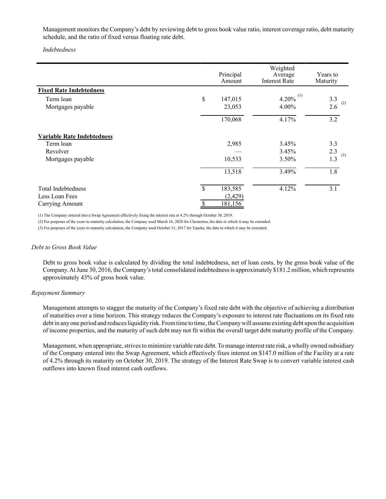Management monitors the Company's debt by reviewing debt to gross book value ratio, interest coverage ratio, debt maturity schedule, and the ratio of fixed versus floating rate debt.

*Indebtedness*

|                                   | Principal<br>Amount | Weighted<br>Average<br><b>Interest Rate</b> | Years to<br>Maturity |
|-----------------------------------|---------------------|---------------------------------------------|----------------------|
| <b>Fixed Rate Indebtedness</b>    |                     |                                             |                      |
| Term loan                         | \$<br>147,015       | 4.20% $^{(1)}$                              | 3.3                  |
| Mortgages payable                 | 23,053              | 4.00%                                       | (2)<br>2.6           |
|                                   | 170,068             | 4.17%                                       | 3.2                  |
| <b>Variable Rate Indebtedness</b> |                     |                                             |                      |
| Term loan                         | 2,985               | 3.45%                                       | 3.3                  |
| Revolver                          |                     | 3.45%                                       | 2.3<br>(3)           |
| Mortgages payable                 | 10,533              | 3.50%                                       | 1.3                  |
|                                   | 13,518              | 3.49%                                       | 1.8                  |
| <b>Total Indebtedness</b>         | \$<br>183,585       | 4.12%                                       | 3.1                  |
| Less Loan Fees                    | (2, 429)            |                                             |                      |
| Carrying Amount                   | \$<br>181,156       |                                             |                      |

(1) The Company entered into a Swap Agreement effectively fixing the interest rate at 4.2% through October 30, 2019.

(2) For purposes of the years to maturity calculation, the Company used March 16, 2020 for Chesterton, the date to which it may be extended.

(3) For purposes of the years to maturity calculation, the Company used October 31, 2017 for Topeka, the date to which it may be extended.

#### *Debt to Gross Book Value*

Debt to gross book value is calculated by dividing the total indebtedness, net of loan costs, by the gross book value of the Company. At June 30, 2016, the Company's total consolidated indebtedness is approximately \$181.2 million, which represents approximately 43% of gross book value.

#### *Repayment Summary*

Management attempts to stagger the maturity of the Company's fixed rate debt with the objective of achieving a distribution of maturities over a time horizon. This strategy reduces the Company's exposure to interest rate fluctuations on its fixed rate debt in any one period and reduces liquidity risk. From time to time, the Company will assume existing debt upon the acquisition of income properties, and the maturity of such debt may not fit within the overall target debt maturity profile of the Company.

Management, when appropriate, strives to minimize variable rate debt. To manage interest rate risk, a wholly owned subsidiary of the Company entered into the Swap Agreement, which effectively fixes interest on \$147.0 million of the Facility at a rate of 4.2% through its maturity on October 30, 2019. The strategy of the Interest Rate Swap is to convert variable interest cash outflows into known fixed interest cash outflows.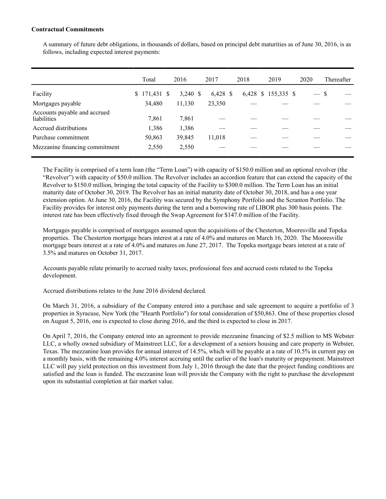## **Contractual Commitments**

A summary of future debt obligations, in thousands of dollars, based on principal debt maturities as of June 30, 2016, is as follows, including expected interest payments:

|                                             | Total            | 2016       | 2017       | 2018 | 2019                | 2020          |   | Thereafter |
|---------------------------------------------|------------------|------------|------------|------|---------------------|---------------|---|------------|
| Facility                                    | 171,431 \$<br>S. | $3,240$ \$ | $6,428$ \$ |      | 6,428 \$ 155,335 \$ | $\frac{1}{2}$ | S |            |
| Mortgages payable                           | 34,480           | 11,130     | 23,350     |      |                     |               |   |            |
| Accounts payable and accrued<br>liabilities | 7,861            | 7,861      |            |      |                     |               |   |            |
| Accrued distributions                       | 1,386            | 1,386      |            |      |                     |               |   |            |
| Purchase commitment                         | 50,863           | 39,845     | 11,018     |      |                     |               |   |            |
| Mezzanine financing commitment              | 2,550            | 2,550      |            |      |                     |               |   |            |

The Facility is comprised of a term loan (the "Term Loan") with capacity of \$150.0 million and an optional revolver (the "Revolver") with capacity of \$50.0 million. The Revolver includes an accordion feature that can extend the capacity of the Revolver to \$150.0 million, bringing the total capacity of the Facility to \$300.0 million. The Term Loan has an initial maturity date of October 30, 2019. The Revolver has an initial maturity date of October 30, 2018, and has a one year extension option. At June 30, 2016, the Facility was secured by the Symphony Portfolio and the Scranton Portfolio. The Facility provides for interest only payments during the term and a borrowing rate of LIBOR plus 300 basis points. The interest rate has been effectively fixed through the Swap Agreement for \$147.0 million of the Facility.

Mortgages payable is comprised of mortgages assumed upon the acquisitions of the Chesterton, Mooresville and Topeka properties. The Chesterton mortgage bears interest at a rate of 4.0% and matures on March 16, 2020. The Mooresville mortgage bears interest at a rate of 4.0% and matures on June 27, 2017. The Topeka mortgage bears interest at a rate of 3.5% and matures on October 31, 2017.

Accounts payable relate primarily to accrued realty taxes, professional fees and accrued costs related to the Topeka development.

Accrued distributions relates to the June 2016 dividend declared.

On March 31, 2016, a subsidiary of the Company entered into a purchase and sale agreement to acquire a portfolio of 3 properties in Syracuse, New York (the "Hearth Portfolio") for total consideration of \$50,863. One of these properties closed on August 5, 2016, one is expected to close during 2016, and the third is expected to close in 2017.

On April 7, 2016, the Company entered into an agreement to provide mezzanine financing of \$2.5 million to MS Webster LLC, a wholly owned subsidiary of Mainstreet LLC, for a development of a seniors housing and care property in Webster, Texas. The mezzanine loan provides for annual interest of 14.5%, which will be payable at a rate of 10.5% in current pay on a monthly basis, with the remaining 4.0% interest accruing until the earlier of the loan's maturity or prepayment. Mainstreet LLC will pay yield protection on this investment from July 1, 2016 through the date that the project funding conditions are satisfied and the loan is funded. The mezzanine loan will provide the Company with the right to purchase the development upon its substantial completion at fair market value.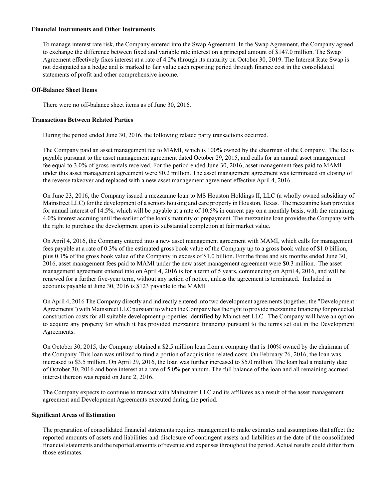#### **Financial Instruments and Other Instruments**

To manage interest rate risk, the Company entered into the Swap Agreement. In the Swap Agreement, the Company agreed to exchange the difference between fixed and variable rate interest on a principal amount of \$147.0 million. The Swap Agreement effectively fixes interest at a rate of 4.2% through its maturity on October 30, 2019. The Interest Rate Swap is not designated as a hedge and is marked to fair value each reporting period through finance cost in the consolidated statements of profit and other comprehensive income.

## **Off-Balance Sheet Items**

There were no off-balance sheet items as of June 30, 2016.

## **Transactions Between Related Parties**

During the period ended June 30, 2016, the following related party transactions occurred.

The Company paid an asset management fee to MAMI, which is 100% owned by the chairman of the Company. The fee is payable pursuant to the asset management agreement dated October 29, 2015, and calls for an annual asset management fee equal to 3.0% of gross rentals received. For the period ended June 30, 2016, asset management fees paid to MAMI under this asset management agreement were \$0.2 million. The asset management agreement was terminated on closing of the reverse takeover and replaced with a new asset management agreement effective April 4, 2016.

On June 23, 2016, the Company issued a mezzanine loan to MS Houston Holdings II, LLC (a wholly owned subsidiary of Mainstreet LLC) for the development of a seniors housing and care property in Houston, Texas. The mezzanine loan provides for annual interest of 14.5%, which will be payable at a rate of 10.5% in current pay on a monthly basis, with the remaining 4.0% interest accruing until the earlier of the loan's maturity or prepayment. The mezzanine loan provides the Company with the right to purchase the development upon its substantial completion at fair market value.

On April 4, 2016, the Company entered into a new asset management agreement with MAMI, which calls for management fees payable at a rate of 0.3% of the estimated gross book value of the Company up to a gross book value of \$1.0 billion, plus 0.1% of the gross book value of the Company in excess of \$1.0 billion. For the three and six months ended June 30, 2016, asset management fees paid to MAMI under the new asset management agreement were \$0.3 million. The asset management agreement entered into on April 4, 2016 is for a term of 5 years, commencing on April 4, 2016, and will be renewed for a further five-year term, without any action of notice, unless the agreement is terminated. Included in accounts payable at June 30, 2016 is \$123 payable to the MAMI.

On April 4, 2016 The Company directly and indirectly entered into two development agreements (together, the "Development Agreements") with Mainstreet LLC pursuant to which the Company has the right to provide mezzanine financing for projected construction costs for all suitable development properties identified by Mainstreet LLC. The Company will have an option to acquire any property for which it has provided mezzanine financing pursuant to the terms set out in the Development Agreements.

On October 30, 2015, the Company obtained a \$2.5 million loan from a company that is 100% owned by the chairman of the Company. This loan was utilized to fund a portion of acquisition related costs. On February 26, 2016, the loan was increased to \$3.5 million. On April 29, 2016, the loan was further increased to \$5.0 million. The loan had a maturity date of October 30, 2016 and bore interest at a rate of 5.0% per annum. The full balance of the loan and all remaining accrued interest thereon was repaid on June 2, 2016.

The Company expects to continue to transact with Mainstreet LLC and its affiliates as a result of the asset management agreement and Development Agreements executed during the period.

#### **Significant Areas of Estimation**

The preparation of consolidated financial statements requires management to make estimates and assumptions that affect the reported amounts of assets and liabilities and disclosure of contingent assets and liabilities at the date of the consolidated financial statements and the reported amounts of revenue and expenses throughout the period. Actual results could differ from those estimates.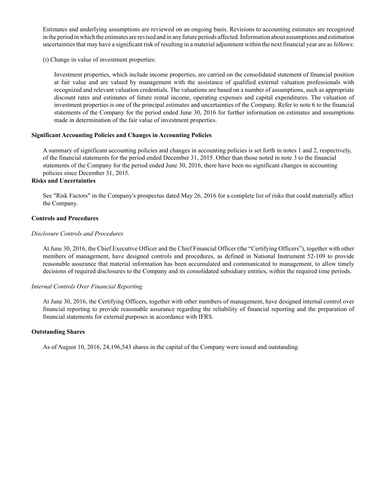Estimates and underlying assumptions are reviewed on an ongoing basis. Revisions to accounting estimates are recognized in the period in which the estimates are revised and in any future periods affected. Information about assumptions and estimation uncertainties that may have a significant risk of resulting in a material adjustment within the next financial year are as follows:

(i) Change in value of investment properties:

Investment properties, which include income properties, are carried on the consolidated statement of financial position at fair value and are valued by management with the assistance of qualified external valuation professionals with recognized and relevant valuation credentials. The valuations are based on a number of assumptions, such as appropriate discount rates and estimates of future rental income, operating expenses and capital expenditures. The valuation of investment properties is one of the principal estimates and uncertainties of the Company. Refer to note 6 to the financial statements of the Company for the period ended June 30, 2016 for further information on estimates and assumptions made in determination of the fair value of investment properties.

## **Significant Accounting Policies and Changes in Accounting Policies**

A summary of significant accounting policies and changes in accounting policies is set forth in notes 1 and 2, respectively, of the financial statements for the period ended December 31, 2015. Other than those noted in note 3 to the financial statements of the Company for the period ended June 30, 2016, there have been no significant changes in accounting policies since December 31, 2015.

## **Risks and Uncertainties**

See "Risk Factors" in the Company's prospectus dated May 26, 2016 for a complete list of risks that could materially affect the Company.

## **Controls and Procedures**

#### *Disclosure Controls and Procedures*

At June 30, 2016, the Chief Executive Officer and the Chief Financial Officer (the "Certifying Officers"), together with other members of management, have designed controls and procedures, as defined in National Instrument 52-109 to provide reasonable assurance that material information has been accumulated and communicated to management, to allow timely decisions of required disclosures to the Company and its consolidated subsidiary entities, within the required time periods.

#### *Internal Controls Over Financial Reporting*

At June 30, 2016, the Certifying Officers, together with other members of management, have designed internal control over financial reporting to provide reasonable assurance regarding the reliability of financial reporting and the preparation of financial statements for external purposes in accordance with IFRS.

## **Outstanding Shares**

As of August 10, 2016, 24,196,543 shares in the capital of the Company were issued and outstanding.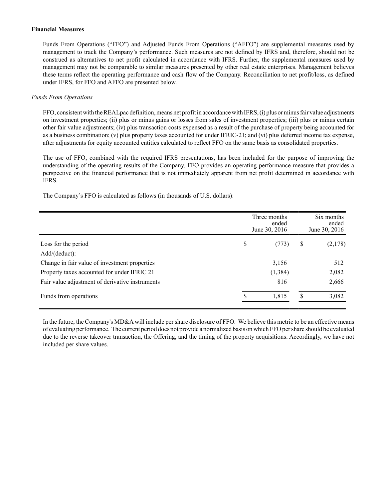#### **Financial Measures**

Funds From Operations ("FFO") and Adjusted Funds From Operations ("AFFO") are supplemental measures used by management to track the Company's performance. Such measures are not defined by IFRS and, therefore, should not be construed as alternatives to net profit calculated in accordance with IFRS. Further, the supplemental measures used by management may not be comparable to similar measures presented by other real estate enterprises. Management believes these terms reflect the operating performance and cash flow of the Company. Reconciliation to net profit/loss, as defined under IFRS, for FFO and AFFO are presented below.

## *Funds From Operations*

FFO, consistent with the REALpac definition, means net profit in accordance with IFRS, (i) plus or minus fair value adjustments on investment properties; (ii) plus or minus gains or losses from sales of investment properties; (iii) plus or minus certain other fair value adjustments; (iv) plus transaction costs expensed as a result of the purchase of property being accounted for as a business combination; (v) plus property taxes accounted for under IFRIC-21; and (vi) plus deferred income tax expense, after adjustments for equity accounted entities calculated to reflect FFO on the same basis as consolidated properties.

The use of FFO, combined with the required IFRS presentations, has been included for the purpose of improving the understanding of the operating results of the Company. FFO provides an operating performance measure that provides a perspective on the financial performance that is not immediately apparent from net profit determined in accordance with IFRS.

The Company's FFO is calculated as follows (in thousands of U.S. dollars):

|                                                 | Three months<br>June 30, 2016 |          | Six months<br>ended<br>June 30, 2016 |         |  |
|-------------------------------------------------|-------------------------------|----------|--------------------------------------|---------|--|
| Loss for the period                             | \$                            | (773)    | S                                    | (2,178) |  |
| Add/(deduct):                                   |                               |          |                                      |         |  |
| Change in fair value of investment properties   |                               | 3,156    |                                      | 512     |  |
| Property taxes accounted for under IFRIC 21     |                               | (1, 384) |                                      | 2,082   |  |
| Fair value adjustment of derivative instruments |                               | 816      |                                      | 2,666   |  |
| Funds from operations                           | ¢                             | 1,815    | \$                                   | 3,082   |  |

In the future, the Company's MD&Awill include per share disclosure of FFO. We believe this metric to be an effective means of evaluating performance. The current period does not provide a normalized basis on which FFO per share should be evaluated due to the reverse takeover transaction, the Offering, and the timing of the property acquisitions. Accordingly, we have not included per share values.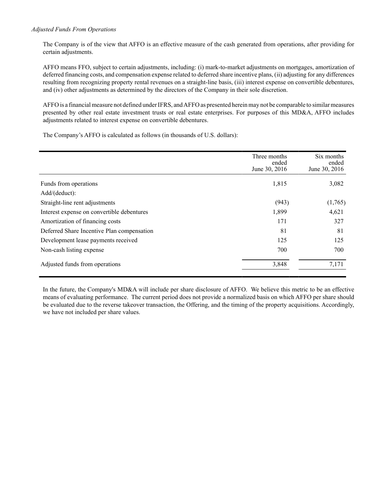## *Adjusted Funds From Operations*

The Company is of the view that AFFO is an effective measure of the cash generated from operations, after providing for certain adjustments.

AFFO means FFO, subject to certain adjustments, including: (i) mark-to-market adjustments on mortgages, amortization of deferred financing costs, and compensation expense related to deferred share incentive plans, (ii) adjusting for any differences resulting from recognizing property rental revenues on a straight-line basis, (iii) interest expense on convertible debentures, and (iv) other adjustments as determined by the directors of the Company in their sole discretion.

AFFO is a financial measure not defined under IFRS, and AFFO as presented herein may not be comparable to similar measures presented by other real estate investment trusts or real estate enterprises. For purposes of this MD&A, AFFO includes adjustments related to interest expense on convertible debentures.

The Company's AFFO is calculated as follows (in thousands of U.S. dollars):

|                                            | Three months<br>ended<br>June 30, 2016 | Six months<br>ended<br>June 30, 2016 |
|--------------------------------------------|----------------------------------------|--------------------------------------|
| Funds from operations                      | 1,815                                  | 3,082                                |
| Add/(deduct):                              |                                        |                                      |
| Straight-line rent adjustments             | (943)                                  | (1,765)                              |
| Interest expense on convertible debentures | 1,899                                  | 4,621                                |
| Amortization of financing costs            | 171                                    | 327                                  |
| Deferred Share Incentive Plan compensation | 81                                     | 81                                   |
| Development lease payments received        | 125                                    | 125                                  |
| Non-cash listing expense                   | 700                                    | 700                                  |
| Adjusted funds from operations             | 3,848                                  | 7,171                                |

In the future, the Company's MD&A will include per share disclosure of AFFO. We believe this metric to be an effective means of evaluating performance. The current period does not provide a normalized basis on which AFFO per share should be evaluated due to the reverse takeover transaction, the Offering, and the timing of the property acquisitions. Accordingly, we have not included per share values.